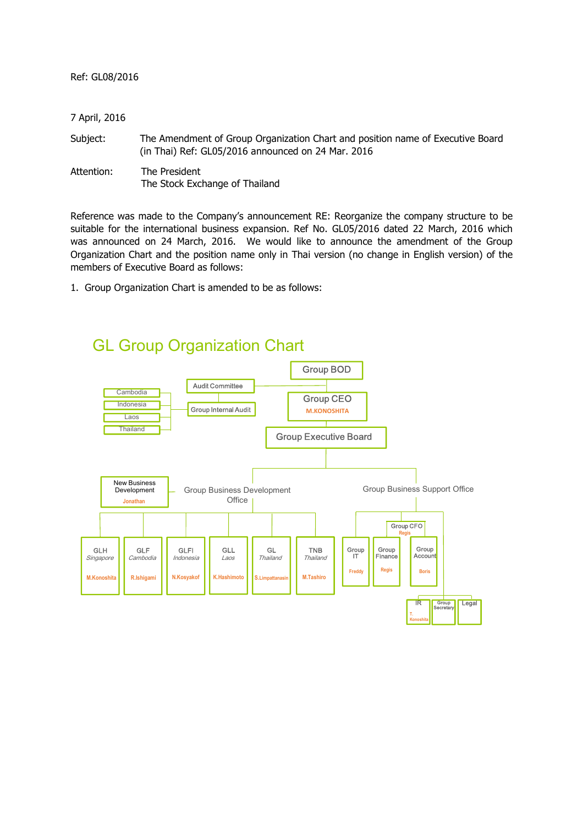| Ref: GL08/2016 |  |  |  |  |  |
|----------------|--|--|--|--|--|
|----------------|--|--|--|--|--|

| 7 April, 2016 |                                                                                                                                      |
|---------------|--------------------------------------------------------------------------------------------------------------------------------------|
| Subject:      | The Amendment of Group Organization Chart and position name of Executive Board<br>(in Thai) Ref: GL05/2016 announced on 24 Mar. 2016 |
| Attention:    | The President<br>The Stock Exchange of Thailand                                                                                      |

Reference was made to the Company's announcement RE: Reorganize the company structure to be suitable for the international business expansion. Ref No. GL05/2016 dated 22 March, 2016 which was announced on 24 March, 2016. We would like to announce the amendment of the Group Organization Chart and the position name only in Thai version (no change in English version) of the members of Executive Board as follows:

1. Group Organization Chart is amended to be as follows:



## GL Group Organization Chart